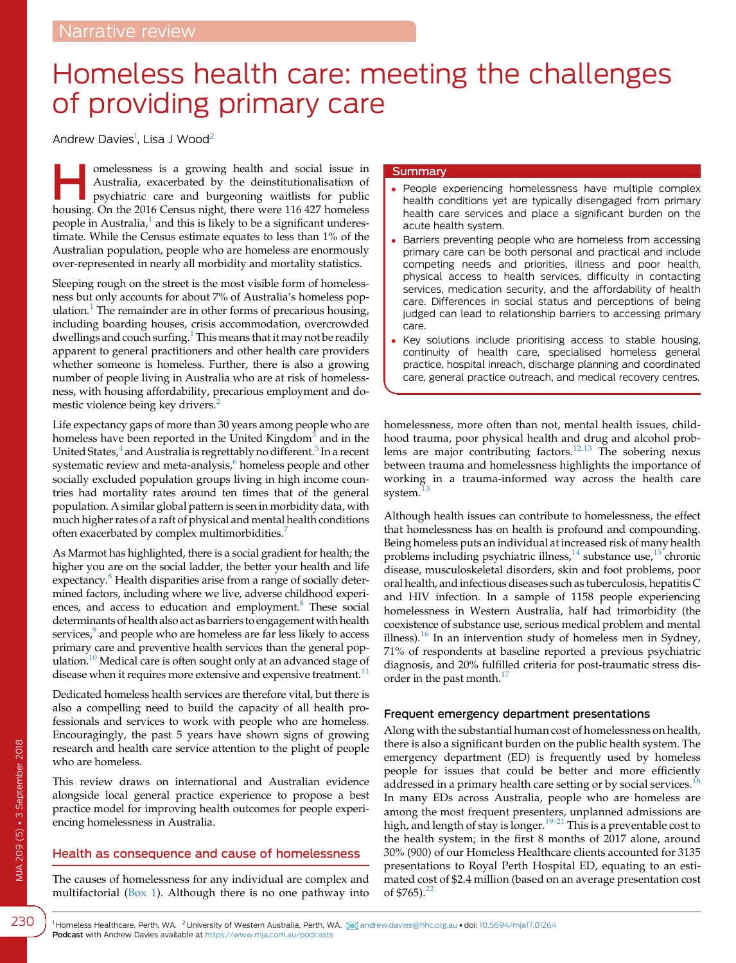# Homeless health care: meeting the challenges of providing primary care

Andrew Davies<sup>1</sup>, Lisa J Wood<sup>2</sup>

omelessness is a growing health and social issue in<br>Australia, exacerbated by the deinstitutionalisation of<br>psychiatric care and burgeoning waitlists for public<br>bousing On the 2016 Consus night there were 116,427 bomeless Australia, exacerbated by the deinstitutionalisation of housing. On the 2016 Census night, there were 116 427 homeless people in Australia, $<sup>1</sup>$  $<sup>1</sup>$  $<sup>1</sup>$  and this is likely to be a significant underes-</sup> timate. While the Census estimate equates to less than 1% of the Australian population, people who are homeless are enormously over-represented in nearly all morbidity and mortality statistics.

Sleeping rough on the street is the most visible form of homelessness but only accounts for about 7% of Australia's homeless pop-ulation.<sup>[1](#page-4-0)</sup> The remainder are in other forms of precarious housing, including boarding houses, crisis accommodation, overcrowded dwellings and couch surfing.<sup>[1](#page-4-0)</sup> This means that it may not be readily apparent to general practitioners and other health care providers whether someone is homeless. Further, there is also a growing number of people living in Australia who are at risk of homelessness, with housing affordability, precarious employment and do-mestic violence being key drivers.<sup>[2](#page-4-0)</sup>

Life expectancy gaps of more than 30 years among people who are homeless have been reported in the United Kingdom<sup>[3](#page-4-0)</sup> and in the United States, $4$  and Australia is regrettably no different.<sup>[5](#page-4-0)</sup> In a recent systematic review and meta-analysis,<sup>[6](#page-4-0)</sup> homeless people and other socially excluded population groups living in high income countries had mortality rates around ten times that of the general population. A similar global pattern is seen in morbidity data, with much higher rates of a raft of physical and mental health conditions often exacerbated by complex multimorbidities.<sup>[7](#page-4-0)</sup>

As Marmot has highlighted, there is a social gradient for health; the higher you are on the social ladder, the better your health and life expectancy.<sup>8</sup> Health disparities arise from a range of socially determined factors, including where we live, adverse childhood experiences, and access to education and employment.<sup>8</sup> These social determinants of health also act as barriers to engagement with health services,<sup>[9](#page-4-0)</sup> and people who are homeless are far less likely to access primary care and preventive health services than the general pop-ulation.<sup>[10](#page-4-0)</sup> Medical care is often sought only at an advanced stage of disease when it requires more extensive and expensive treatment.<sup>11</sup>

Dedicated homeless health services are therefore vital, but there is also a compelling need to build the capacity of all health professionals and services to work with people who are homeless. Encouragingly, the past 5 years have shown signs of growing research and health care service attention to the plight of people who are homeless.

This review draws on international and Australian evidence alongside local general practice experience to propose a best practice model for improving health outcomes for people experiencing homelessness in Australia.

# Health as consequence and cause of homelessness

The causes of homelessness for any individual are complex and multifactorial ([Box 1\)](#page-1-0). Although there is no one pathway into

#### **Summary**

- People experiencing homelessness have multiple complex health conditions yet are typically disengaged from primary health care services and place a significant burden on the acute health system.
- Barriers preventing people who are homeless from accessing primary care can be both personal and practical and include competing needs and priorities, illness and poor health, physical access to health services, difficulty in contacting services, medication security, and the affordability of health care. Differences in social status and perceptions of being judged can lead to relationship barriers to accessing primary care.
- Key solutions include prioritising access to stable housing, continuity of health care, specialised homeless general practice, hospital inreach, discharge planning and coordinated care, general practice outreach, and medical recovery centres.

homelessness, more often than not, mental health issues, childhood trauma, poor physical health and drug and alcohol prob-lems are major contributing factors.<sup>[12,13](#page-4-0)</sup> The sobering nexus between trauma and homelessness highlights the importance of working in a trauma-informed way across the health care system.<sup>1</sup>

Although health issues can contribute to homelessness, the effect that homelessness has on health is profound and compounding. Being homeless puts an individual at increased risk of many health problems including psychiatric illness, $^{14}$  $^{14}$  $^{14}$  substance use, $^{15}$  $^{15}$  $^{15}$  chronic disease, musculoskeletal disorders, skin and foot problems, poor oral health, and infectious diseases such as tuberculosis, hepatitis C and HIV infection. In a sample of 1158 people experiencing homelessness in Western Australia, half had trimorbidity (the coexistence of substance use, serious medical problem and mental illness).<sup>[16](#page-4-0)</sup> In an intervention study of homeless men in Sydney, 71% of respondents at baseline reported a previous psychiatric diagnosis, and 20% fulfilled criteria for post-traumatic stress disorder in the past month. $^{17}$  $^{17}$  $^{17}$ 

# Frequent emergency department presentations

Along with the substantial human cost of homelessness on health, there is also a significant burden on the public health system. The emergency department (ED) is frequently used by homeless people for issues that could be better and more efficiently addressed in a primary health care setting or by social services.<sup>1</sup> In many EDs across Australia, people who are homeless are among the most frequent presenters, unplanned admissions are high, and length of stay is longer.<sup>[19-21](#page-4-0)</sup> This is a preventable cost to the health system; in the first 8 months of 2017 alone, around 30% (900) of our Homeless Healthcare clients accounted for 3135 presentations to Royal Perth Hospital ED, equating to an estimated cost of \$2.4 million (based on an average presentation cost of  $$765$ ).<sup>[22](#page-4-0)</sup>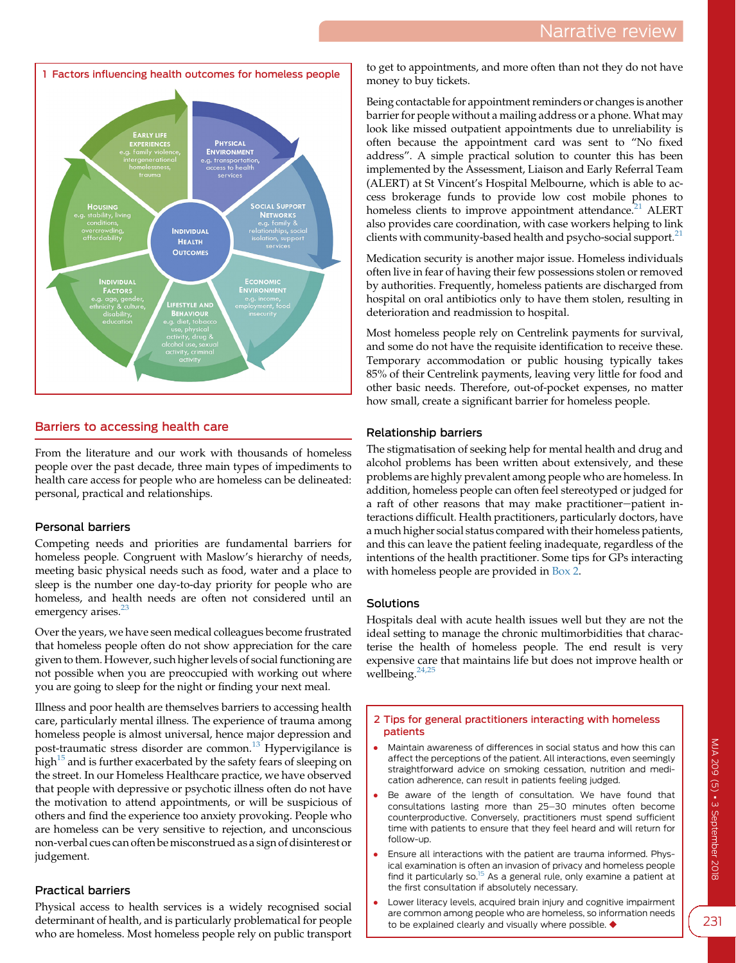<span id="page-1-0"></span>

# Barriers to accessing health care

From the literature and our work with thousands of homeless people over the past decade, three main types of impediments to health care access for people who are homeless can be delineated: personal, practical and relationships.

# Personal barriers

Competing needs and priorities are fundamental barriers for homeless people. Congruent with Maslow's hierarchy of needs, meeting basic physical needs such as food, water and a place to sleep is the number one day-to-day priority for people who are homeless, and health needs are often not considered until an emergency arises.<sup>[23](#page-4-0)</sup>

Over the years, we have seen medical colleagues become frustrated that homeless people often do not show appreciation for the care given to them. However, such higher levels of social functioning are not possible when you are preoccupied with working out where you are going to sleep for the night or finding your next meal.

Illness and poor health are themselves barriers to accessing health care, particularly mental illness. The experience of trauma among homeless people is almost universal, hence major depression and post-traumatic stress disorder are common.<sup>[13](#page-4-0)</sup> Hypervigilance is high $15$  and is further exacerbated by the safety fears of sleeping on the street. In our Homeless Healthcare practice, we have observed that people with depressive or psychotic illness often do not have the motivation to attend appointments, or will be suspicious of others and find the experience too anxiety provoking. People who are homeless can be very sensitive to rejection, and unconscious non-verbal cues can often be misconstrued as a sign of disinterest or judgement.

# Practical barriers

Physical access to health services is a widely recognised social determinant of health, and is particularly problematical for people who are homeless. Most homeless people rely on public transport

to get to appointments, and more often than not they do not have money to buy tickets.

Being contactable for appointment reminders or changes is another barrier for people without a mailing address or a phone. What may look like missed outpatient appointments due to unreliability is often because the appointment card was sent to "No fixed address". A simple practical solution to counter this has been implemented by the Assessment, Liaison and Early Referral Team (ALERT) at St Vincent's Hospital Melbourne, which is able to access brokerage funds to provide low cost mobile phones to homeless clients to improve appointment attendance.<sup>[21](#page-4-0)</sup> ALERT also provides care coordination, with case workers helping to link clients with community-based health and psycho-social support. $^{21}$  $^{21}$  $^{21}$ 

Medication security is another major issue. Homeless individuals often live in fear of having their few possessions stolen or removed by authorities. Frequently, homeless patients are discharged from hospital on oral antibiotics only to have them stolen, resulting in deterioration and readmission to hospital.

Most homeless people rely on Centrelink payments for survival, and some do not have the requisite identification to receive these. Temporary accommodation or public housing typically takes 85% of their Centrelink payments, leaving very little for food and other basic needs. Therefore, out-of-pocket expenses, no matter how small, create a significant barrier for homeless people.

# Relationship barriers

The stigmatisation of seeking help for mental health and drug and alcohol problems has been written about extensively, and these problems are highly prevalent among people who are homeless. In addition, homeless people can often feel stereotyped or judged for a raft of other reasons that may make practitioner-patient interactions difficult. Health practitioners, particularly doctors, have a much higher social status compared with their homeless patients, and this can leave the patient feeling inadequate, regardless of the intentions of the health practitioner. Some tips for GPs interacting with homeless people are provided in Box 2.

# Solutions

Hospitals deal with acute health issues well but they are not the ideal setting to manage the chronic multimorbidities that characterise the health of homeless people. The end result is very expensive care that maintains life but does not improve health or wellbeing.<sup>[24,25](#page-4-0)</sup>

#### 2 Tips for general practitioners interacting with homeless patients

- Maintain awareness of differences in social status and how this can affect the perceptions of the patient. All interactions, even seemingly straightforward advice on smoking cessation, nutrition and medication adherence, can result in patients feeling judged.
- Be aware of the length of consultation. We have found that consultations lasting more than 25-30 minutes often become counterproductive. Conversely, practitioners must spend sufficient time with patients to ensure that they feel heard and will return for follow-up.
- Ensure all interactions with the patient are trauma informed. Physical examination is often an invasion of privacy and homeless people find it particularly so. $15$  As a general rule, only examine a patient at the first consultation if absolutely necessary.
- Lower literacy levels, acquired brain injury and cognitive impairment are common among people who are homeless, so information needs to be explained clearly and visually where possible.  $\blacklozenge$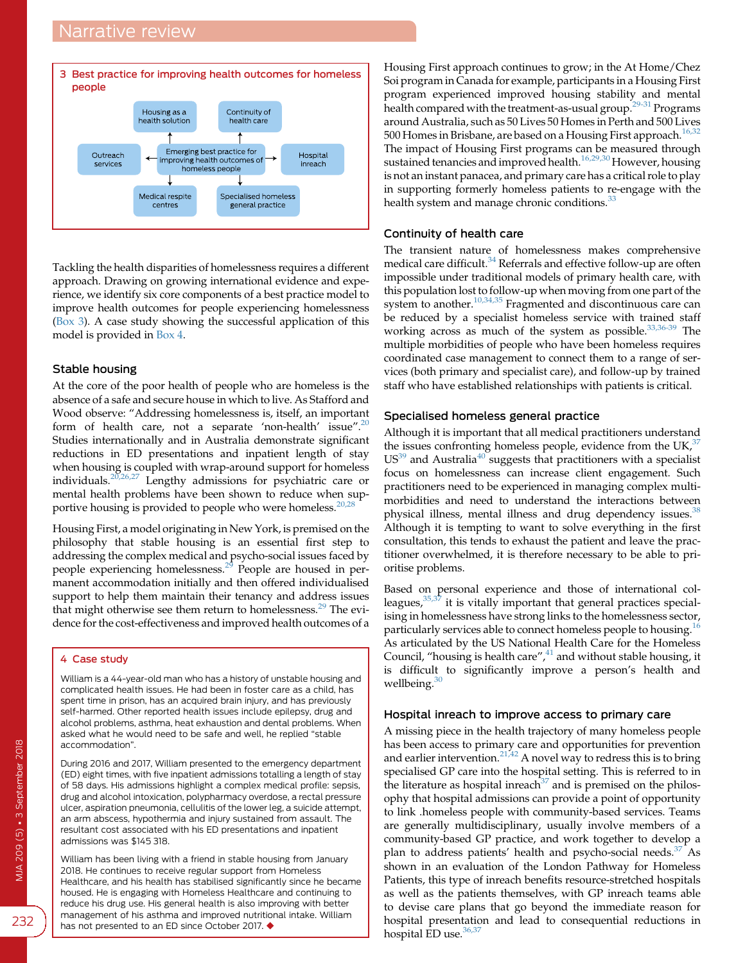# Narrative review



Tackling the health disparities of homelessness requires a different approach. Drawing on growing international evidence and experience, we identify six core components of a best practice model to improve health outcomes for people experiencing homelessness (Box 3). A case study showing the successful application of this model is provided in Box 4.

#### Stable housing

At the core of the poor health of people who are homeless is the absence of a safe and secure house in which to live. As Stafford and Wood observe: "Addressing homelessness is, itself, an important form of health care, not a separate 'non-health' issue".<sup>[20](#page-4-0)</sup> Studies internationally and in Australia demonstrate significant reductions in ED presentations and inpatient length of stay when housing is coupled with wrap-around support for homeless individuals.[20,26,27](#page-4-0) Lengthy admissions for psychiatric care or mental health problems have been shown to reduce when supportive housing is provided to people who were homeless.<sup>20,2</sup>

Housing First, a model originating in New York, is premised on the philosophy that stable housing is an essential first step to addressing the complex medical and psycho-social issues faced by people experiencing homelessness.[29](#page-4-0) People are housed in permanent accommodation initially and then offered individualised support to help them maintain their tenancy and address issues that might otherwise see them return to homelessness.<sup>[29](#page-4-0)</sup> The evidence for the cost-effectiveness and improved health outcomes of a

#### 4 Case study

William is a 44-year-old man who has a history of unstable housing and complicated health issues. He had been in foster care as a child, has spent time in prison, has an acquired brain injury, and has previously self-harmed. Other reported health issues include epilepsy, drug and alcohol problems, asthma, heat exhaustion and dental problems. When asked what he would need to be safe and well, he replied "stable accommodation".

During 2016 and 2017, William presented to the emergency department (ED) eight times, with five inpatient admissions totalling a length of stay of 58 days. His admissions highlight a complex medical profile: sepsis, drug and alcohol intoxication, polypharmacy overdose, a rectal pressure ulcer, aspiration pneumonia, cellulitis of the lower leg, a suicide attempt, an arm abscess, hypothermia and injury sustained from assault. The resultant cost associated with his ED presentations and inpatient admissions was \$145 318.

William has been living with a friend in stable housing from January 2018. He continues to receive regular support from Homeless Healthcare, and his health has stabilised significantly since he became housed. He is engaging with Homeless Healthcare and continuing to reduce his drug use. His general health is also improving with better management of his asthma and improved nutritional intake. William has not presented to an ED since October 2017.  $\blacklozenge$ 

Housing First approach continues to grow; in the At Home/Chez Soi program in Canada for example, participants in a Housing First program experienced improved housing stability and mental health compared with the treatment-as-usual group.[29-31](#page-4-0) Programs around Australia, such as 50 Lives 50 Homes in Perth and 500 Lives 500 Homes in Brisbane, are based on a Housing First approach.<sup>[16,32](#page-4-0)</sup> The impact of Housing First programs can be measured through sustained tenancies and improved health.[16,29,30](#page-4-0) However, housing is not an instant panacea, and primary care has a critical role to play in supporting formerly homeless patients to re-engage with the health system and manage chronic conditions.<sup>[33](#page-4-0)</sup>

#### Continuity of health care

The transient nature of homelessness makes comprehensive medical care difficult.<sup>[34](#page-4-0)</sup> Referrals and effective follow-up are often impossible under traditional models of primary health care, with this population lost to follow-up when moving from one part of the system to another.<sup>[10,34,35](#page-4-0)</sup> Fragmented and discontinuous care can be reduced by a specialist homeless service with trained staff working across as much of the system as possible. $33,36-39$  The multiple morbidities of people who have been homeless requires coordinated case management to connect them to a range of services (both primary and specialist care), and follow-up by trained staff who have established relationships with patients is critical.

#### Specialised homeless general practice

Although it is important that all medical practitioners understand the issues confronting homeless people, evidence from the UK, $37$  $US^{39}$  and Australia<sup>[40](#page-4-0)</sup> suggests that practitioners with a specialist focus on homelessness can increase client engagement. Such practitioners need to be experienced in managing complex multimorbidities and need to understand the interactions between physical illness, mental illness and drug dependency issues.<sup>[38](#page-4-0)</sup> Although it is tempting to want to solve everything in the first consultation, this tends to exhaust the patient and leave the practitioner overwhelmed, it is therefore necessary to be able to prioritise problems.

Based on personal experience and those of international colleagues,  $35,37$  it is vitally important that general practices specialising in homelessness have strong links to the homelessness sector, particularly services able to connect homeless people to housing.<sup>[16](#page-4-0)</sup> As articulated by the US National Health Care for the Homeless Council, "housing is health care", <sup>[41](#page-4-0)</sup> and without stable housing, it is difficult to significantly improve a person's health and wellbeing. $30$ 

#### Hospital inreach to improve access to primary care

A missing piece in the health trajectory of many homeless people has been access to primary care and opportunities for prevention and earlier intervention.<sup>[21,42](#page-4-0)</sup> A novel way to redress this is to bring specialised GP care into the hospital setting. This is referred to in the literature as hospital inreach<sup>[37](#page-4-0)</sup> and is premised on the philosophy that hospital admissions can provide a point of opportunity to link .homeless people with community-based services. Teams are generally multidisciplinary, usually involve members of a community-based GP practice, and work together to develop a plan to address patients' health and psycho-social needs.<sup>[37](#page-4-0)</sup> As shown in an evaluation of the London Pathway for Homeless Patients, this type of inreach benefits resource-stretched hospitals as well as the patients themselves, with GP inreach teams able to devise care plans that go beyond the immediate reason for hospital presentation and lead to consequential reductions in hospital ED use. $36,37$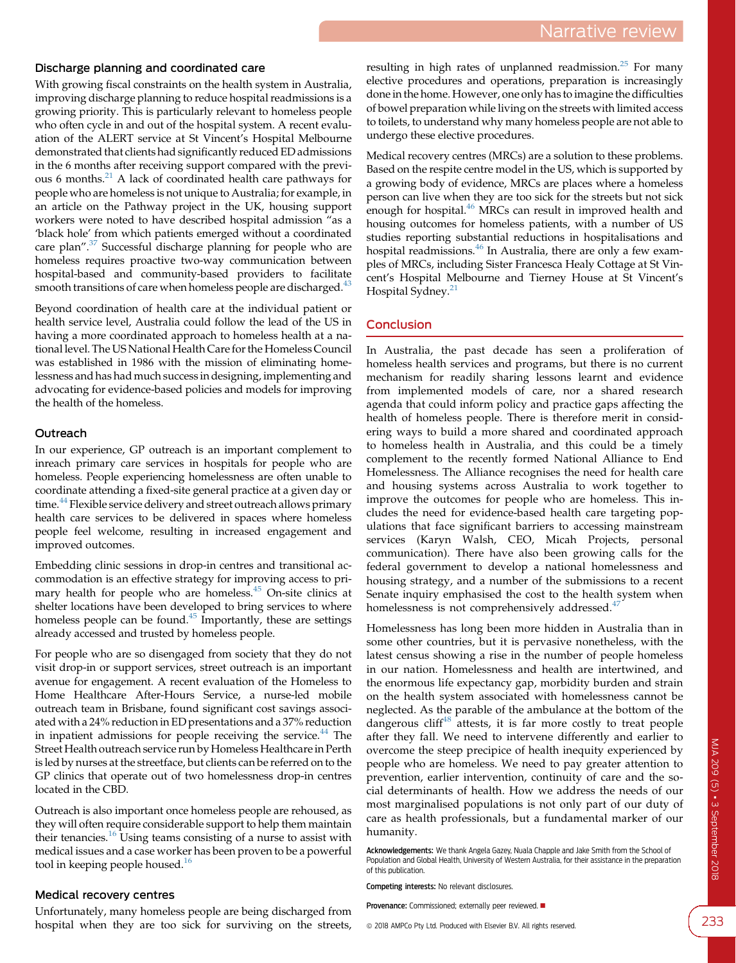#### Discharge planning and coordinated care

With growing fiscal constraints on the health system in Australia, improving discharge planning to reduce hospital readmissions is a growing priority. This is particularly relevant to homeless people who often cycle in and out of the hospital system. A recent evaluation of the ALERT service at St Vincent's Hospital Melbourne demonstrated that clients had significantly reduced ED admissions in the 6 months after receiving support compared with the previous 6 months.[21](#page-4-0) A lack of coordinated health care pathways for people who are homeless is not unique to Australia; for example, in an article on the Pathway project in the UK, housing support workers were noted to have described hospital admission "as a 'black hole' from which patients emerged without a coordinated care plan".<sup>[37](#page-4-0)</sup> Successful discharge planning for people who are homeless requires proactive two-way communication between hospital-based and community-based providers to facilitate smooth transitions of care when homeless people are discharged.<sup>[43](#page-4-0)</sup>

Beyond coordination of health care at the individual patient or health service level, Australia could follow the lead of the US in having a more coordinated approach to homeless health at a national level. The US National Health Care for the Homeless Council was established in 1986 with the mission of eliminating homelessness and has had much success in designing, implementing and advocating for evidence-based policies and models for improving the health of the homeless.

#### **Outreach**

In our experience, GP outreach is an important complement to inreach primary care services in hospitals for people who are homeless. People experiencing homelessness are often unable to coordinate attending a fixed-site general practice at a given day or time.<sup>[44](#page-4-0)</sup> Flexible service delivery and street outreach allows primary health care services to be delivered in spaces where homeless people feel welcome, resulting in increased engagement and improved outcomes.

Embedding clinic sessions in drop-in centres and transitional accommodation is an effective strategy for improving access to primary health for people who are homeless. $45$  On-site clinics at shelter locations have been developed to bring services to where homeless people can be found.<sup>[45](#page-4-0)</sup> Importantly, these are settings already accessed and trusted by homeless people.

For people who are so disengaged from society that they do not visit drop-in or support services, street outreach is an important avenue for engagement. A recent evaluation of the Homeless to Home Healthcare After-Hours Service, a nurse-led mobile outreach team in Brisbane, found significant cost savings associated with a 24% reduction in ED presentations and a 37% reduction in inpatient admissions for people receiving the service.<sup>[44](#page-4-0)</sup> The Street Health outreach service run by Homeless Healthcare in Perth is led by nurses at the streetface, but clients can be referred on to the GP clinics that operate out of two homelessness drop-in centres located in the CBD.

Outreach is also important once homeless people are rehoused, as they will often require considerable support to help them maintain their tenancies.<sup>[16](#page-4-0)</sup> Using teams consisting of a nurse to assist with medical issues and a case worker has been proven to be a powerful tool in keeping people housed.<sup>[16](#page-4-0)</sup>

#### Medical recovery centres

Unfortunately, many homeless people are being discharged from hospital when they are too sick for surviving on the streets, resulting in high rates of unplanned readmission.<sup>[25](#page-4-0)</sup> For many elective procedures and operations, preparation is increasingly done in the home. However, one only has to imagine the difficulties of bowel preparation while living on the streets with limited access to toilets, to understand why many homeless people are not able to undergo these elective procedures.

Medical recovery centres (MRCs) are a solution to these problems. Based on the respite centre model in the US, which is supported by a growing body of evidence, MRCs are places where a homeless person can live when they are too sick for the streets but not sick enough for hospital.<sup>[46](#page-4-0)</sup> MRCs can result in improved health and housing outcomes for homeless patients, with a number of US studies reporting substantial reductions in hospitalisations and hospital readmissions.<sup>[46](#page-4-0)</sup> In Australia, there are only a few examples of MRCs, including Sister Francesca Healy Cottage at St Vincent's Hospital Melbourne and Tierney House at St Vincent's Hospital Sydney.<sup>[21](#page-4-0)</sup>

# Conclusion

In Australia, the past decade has seen a proliferation of homeless health services and programs, but there is no current mechanism for readily sharing lessons learnt and evidence from implemented models of care, nor a shared research agenda that could inform policy and practice gaps affecting the health of homeless people. There is therefore merit in considering ways to build a more shared and coordinated approach to homeless health in Australia, and this could be a timely complement to the recently formed National Alliance to End Homelessness. The Alliance recognises the need for health care and housing systems across Australia to work together to improve the outcomes for people who are homeless. This includes the need for evidence-based health care targeting populations that face significant barriers to accessing mainstream services (Karyn Walsh, CEO, Micah Projects, personal communication). There have also been growing calls for the federal government to develop a national homelessness and housing strategy, and a number of the submissions to a recent Senate inquiry emphasised the cost to the health system when homelessness is not comprehensively addressed.<sup>[47](#page-4-0)</sup>

Homelessness has long been more hidden in Australia than in some other countries, but it is pervasive nonetheless, with the latest census showing a rise in the number of people homeless in our nation. Homelessness and health are intertwined, and the enormous life expectancy gap, morbidity burden and strain on the health system associated with homelessness cannot be neglected. As the parable of the ambulance at the bottom of the dangerous cliff $48$  attests, it is far more costly to treat people after they fall. We need to intervene differently and earlier to overcome the steep precipice of health inequity experienced by people who are homeless. We need to pay greater attention to prevention, earlier intervention, continuity of care and the social determinants of health. How we address the needs of our most marginalised populations is not only part of our duty of care as health professionals, but a fundamental marker of our humanity.

Acknowledgements: We thank Angela Gazey, Nuala Chapple and Jake Smith from the School of Population and Global Health, University of Western Australia, for their assistance in the preparation of this publication.

**Provenance:** Commissioned: externally peer reviewed.  $\blacksquare$ 

Competing interests: No relevant disclosures.